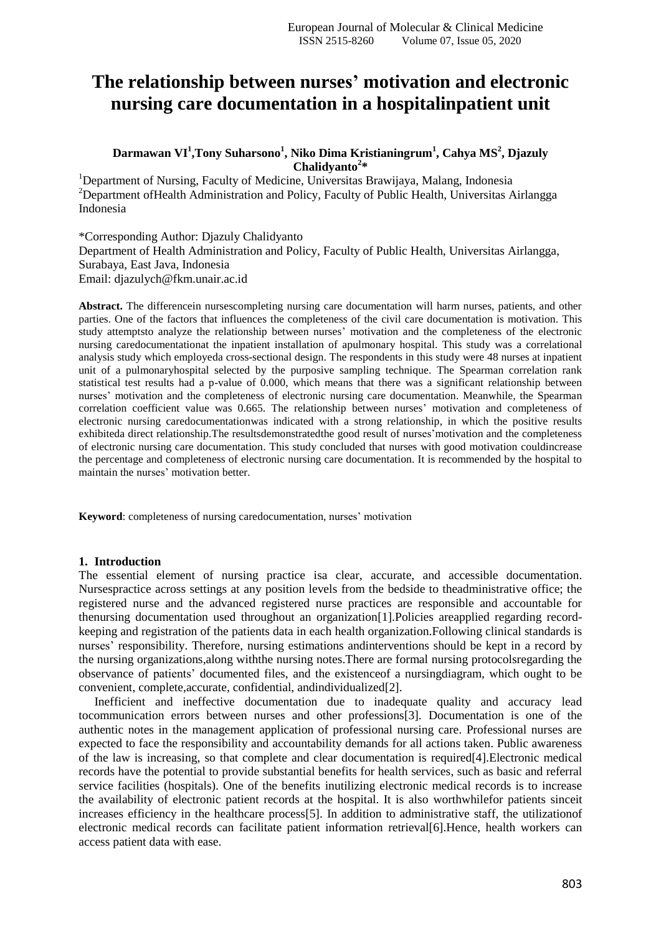# **The relationship between nurses' motivation and electronic nursing care documentation in a hospitalinpatient unit**

## **Darmawan VI<sup>1</sup> ,Tony Suharsono<sup>1</sup> , Niko Dima Kristianingrum<sup>1</sup> , Cahya MS<sup>2</sup> , Djazuly Chalidyanto<sup>2</sup> \***

<sup>1</sup>Department of Nursing, Faculty of Medicine, Universitas Brawijaya, Malang, Indonesia <sup>2</sup>Department of Health Administration and Policy, Faculty of Public Health, Universitas Airlangga Indonesia

\*Corresponding Author: Djazuly Chalidyanto Department of Health Administration and Policy, Faculty of Public Health, Universitas Airlangga, Surabaya, East Java, Indonesia Email: djazulych@fkm.unair.ac.id

**Abstract.** The differencein nursescompleting nursing care documentation will harm nurses, patients, and other parties. One of the factors that influences the completeness of the civil care documentation is motivation. This study attemptsto analyze the relationship between nurses' motivation and the completeness of the electronic nursing caredocumentationat the inpatient installation of apulmonary hospital. This study was a correlational analysis study which employeda cross-sectional design. The respondents in this study were 48 nurses at inpatient unit of a pulmonaryhospital selected by the purposive sampling technique. The Spearman correlation rank statistical test results had a p-value of 0.000, which means that there was a significant relationship between nurses' motivation and the completeness of electronic nursing care documentation. Meanwhile, the Spearman correlation coefficient value was 0.665. The relationship between nurses' motivation and completeness of electronic nursing caredocumentationwas indicated with a strong relationship, in which the positive results exhibiteda direct relationship.The resultsdemonstratedthe good result of nurses'motivation and the completeness of electronic nursing care documentation. This study concluded that nurses with good motivation couldincrease the percentage and completeness of electronic nursing care documentation. It is recommended by the hospital to maintain the nurses' motivation better.

**Keyword**: completeness of nursing caredocumentation, nurses' motivation

#### **1. Introduction**

The essential element of nursing practice isa clear, accurate, and accessible documentation. Nursespractice across settings at any position levels from the bedside to theadministrative office; the registered nurse and the advanced registered nurse practices are responsible and accountable for thenursing documentation used throughout an organization[1].Policies areapplied regarding recordkeeping and registration of the patients data in each health organization.Following clinical standards is nurses' responsibility. Therefore, nursing estimations andinterventions should be kept in a record by the nursing organizations,along withthe nursing notes.There are formal nursing protocolsregarding the observance of patients' documented files, and the existenceof a nursingdiagram, which ought to be convenient, complete,accurate, confidential, andindividualized[2].

Inefficient and ineffective documentation due to inadequate quality and accuracy lead tocommunication errors between nurses and other professions[3]. Documentation is one of the authentic notes in the management application of professional nursing care. Professional nurses are expected to face the responsibility and accountability demands for all actions taken. Public awareness of the law is increasing, so that complete and clear documentation is required[4].Electronic medical records have the potential to provide substantial benefits for health services, such as basic and referral service facilities (hospitals). One of the benefits inutilizing electronic medical records is to increase the availability of electronic patient records at the hospital. It is also worthwhilefor patients sinceit increases efficiency in the healthcare process[5]. In addition to administrative staff, the utilizationof electronic medical records can facilitate patient information retrieval[6].Hence, health workers can access patient data with ease.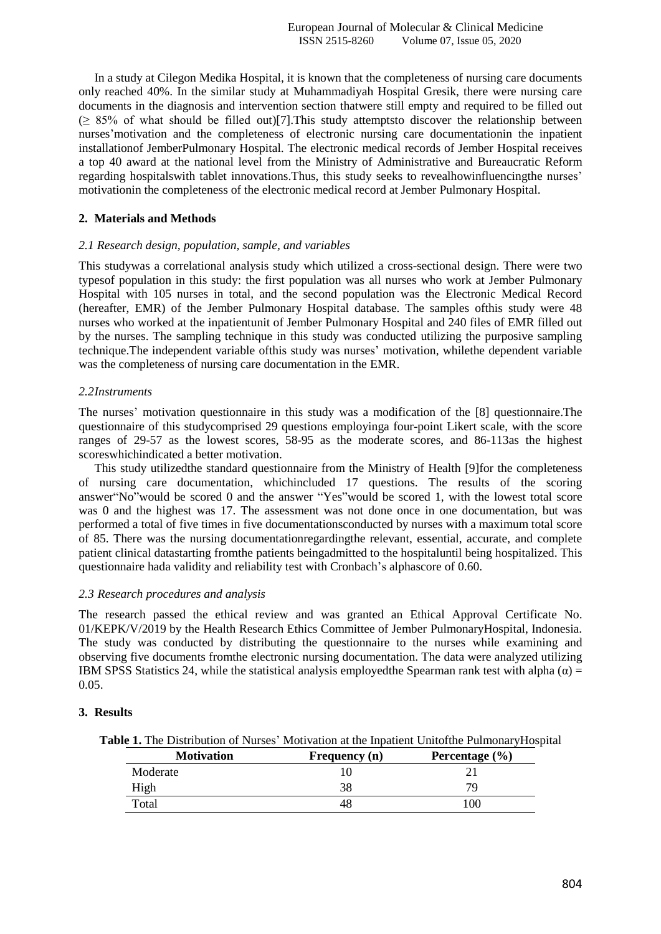In a study at Cilegon Medika Hospital, it is known that the completeness of nursing care documents only reached 40%. In the similar study at Muhammadiyah Hospital Gresik, there were nursing care documents in the diagnosis and intervention section thatwere still empty and required to be filled out  $(\geq 85\%$  of what should be filled out)[7]. This study attempts to discover the relationship between nurses'motivation and the completeness of electronic nursing care documentationin the inpatient installationof JemberPulmonary Hospital. The electronic medical records of Jember Hospital receives a top 40 award at the national level from the Ministry of Administrative and Bureaucratic Reform regarding hospitalswith tablet innovations.Thus, this study seeks to revealhowinfluencingthe nurses' motivationin the completeness of the electronic medical record at Jember Pulmonary Hospital.

## **2. Materials and Methods**

#### *2.1 Research design, population, sample, and variables*

This studywas a correlational analysis study which utilized a cross-sectional design. There were two typesof population in this study: the first population was all nurses who work at Jember Pulmonary Hospital with 105 nurses in total, and the second population was the Electronic Medical Record (hereafter, EMR) of the Jember Pulmonary Hospital database. The samples ofthis study were 48 nurses who worked at the inpatientunit of Jember Pulmonary Hospital and 240 files of EMR filled out by the nurses. The sampling technique in this study was conducted utilizing the purposive sampling technique.The independent variable ofthis study was nurses' motivation, whilethe dependent variable was the completeness of nursing care documentation in the EMR.

#### *2.2Instruments*

The nurses' motivation questionnaire in this study was a modification of the [8] questionnaire.The questionnaire of this studycomprised 29 questions employinga four-point Likert scale, with the score ranges of 29-57 as the lowest scores, 58-95 as the moderate scores, and 86-113as the highest scoreswhichindicated a better motivation.

This study utilizedthe standard questionnaire from the Ministry of Health [9]for the completeness of nursing care documentation, whichincluded 17 questions. The results of the scoring answer"No"would be scored 0 and the answer "Yes"would be scored 1, with the lowest total score was 0 and the highest was 17. The assessment was not done once in one documentation, but was performed a total of five times in five documentationsconducted by nurses with a maximum total score of 85. There was the nursing documentationregardingthe relevant, essential, accurate, and complete patient clinical datastarting fromthe patients beingadmitted to the hospitaluntil being hospitalized. This questionnaire hada validity and reliability test with Cronbach's alphascore of 0.60.

#### *2.3 Research procedures and analysis*

The research passed the ethical review and was granted an Ethical Approval Certificate No. 01/KEPK/V/2019 by the Health Research Ethics Committee of Jember PulmonaryHospital, Indonesia. The study was conducted by distributing the questionnaire to the nurses while examining and observing five documents fromthe electronic nursing documentation. The data were analyzed utilizing IBM SPSS Statistics 24, while the statistical analysis employed the Spearman rank test with alpha  $(\alpha)$  = 0.05.

#### **3. Results**

**Table 1.** The Distribution of Nurses' Motivation at the Inpatient Unitofthe PulmonaryHospital

| <b>Motivation</b> | Frequency (n) | Percentage $(\% )$ |
|-------------------|---------------|--------------------|
| Moderate          |               |                    |
| High              |               |                    |
| Total             |               | .00                |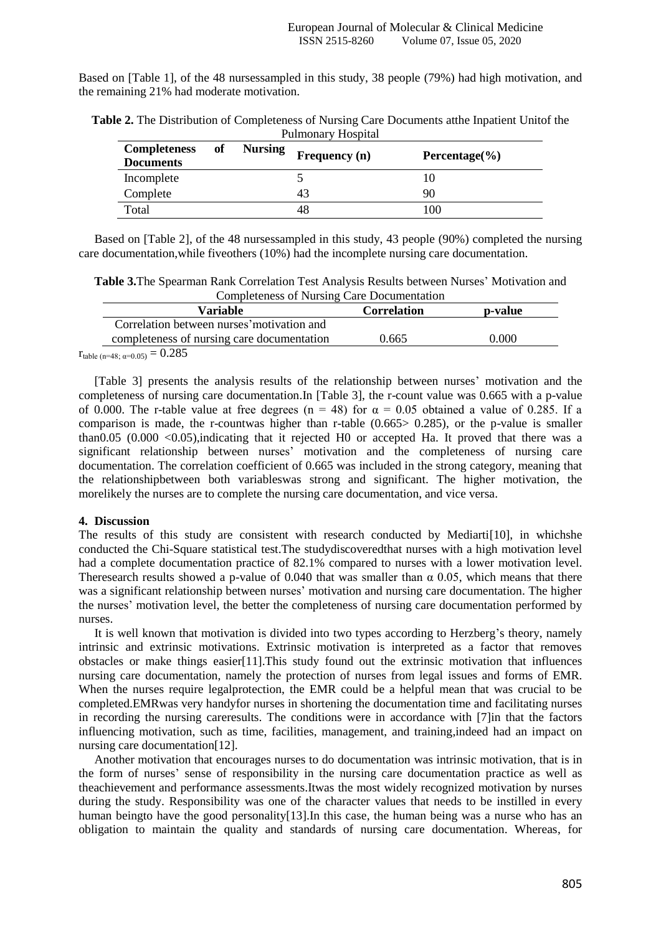Based on [Table 1], of the 48 nursessampled in this study, 38 people (79%) had high motivation, and the remaining 21% had moderate motivation.

| <b>Completeness</b><br><b>Documents</b> | of | <b>Nursing</b> | Frequency (n) | Percentage $(\% )$ |
|-----------------------------------------|----|----------------|---------------|--------------------|
| Incomplete                              |    |                |               |                    |
| Complete                                |    |                | 43            | 90                 |
| Total                                   |    |                | 48            | 100                |

**Table 2.** The Distribution of Completeness of Nursing Care Documents atthe Inpatient Unitof the Pulmonary Hospital

Based on [Table 2], of the 48 nursessampled in this study, 43 people (90%) completed the nursing care documentation,while fiveothers (10%) had the incomplete nursing care documentation.

**Table 3.**The Spearman Rank Correlation Test Analysis Results between Nurses' Motivation and Completeness of Nursing Care Documentation

| Variable                                   | <b>Correlation</b> | p-value |
|--------------------------------------------|--------------------|---------|
| Correlation between nurses motivation and  |                    |         |
| completeness of nursing care documentation | 0.665              | 0.000   |
| $\sim$ 0.005                               |                    |         |

 $r_{table (n=48; \alpha=0.05)} = 0.285$ 

[Table 3] presents the analysis results of the relationship between nurses' motivation and the completeness of nursing care documentation.In [Table 3], the r-count value was 0.665 with a p-value of 0.000. The r-table value at free degrees (n = 48) for  $\alpha = 0.05$  obtained a value of 0.285. If a comparison is made, the r-countwas higher than r-table (0.665> 0.285), or the p-value is smaller than0.05 (0.000 <0.05),indicating that it rejected H0 or accepted Ha. It proved that there was a significant relationship between nurses' motivation and the completeness of nursing care documentation. The correlation coefficient of 0.665 was included in the strong category, meaning that the relationshipbetween both variableswas strong and significant. The higher motivation, the morelikely the nurses are to complete the nursing care documentation, and vice versa.

#### **4. Discussion**

The results of this study are consistent with research conducted by Mediarti[10], in whichshe conducted the Chi-Square statistical test.The studydiscoveredthat nurses with a high motivation level had a complete documentation practice of 82.1% compared to nurses with a lower motivation level. Theresearch results showed a p-value of 0.040 that was smaller than  $\alpha$  0.05, which means that there was a significant relationship between nurses' motivation and nursing care documentation. The higher the nurses' motivation level, the better the completeness of nursing care documentation performed by nurses.

It is well known that motivation is divided into two types according to Herzberg's theory, namely intrinsic and extrinsic motivations. Extrinsic motivation is interpreted as a factor that removes obstacles or make things easier[11].This study found out the extrinsic motivation that influences nursing care documentation, namely the protection of nurses from legal issues and forms of EMR. When the nurses require legalprotection, the EMR could be a helpful mean that was crucial to be completed.EMRwas very handyfor nurses in shortening the documentation time and facilitating nurses in recording the nursing careresults. The conditions were in accordance with [7]in that the factors influencing motivation, such as time, facilities, management, and training,indeed had an impact on nursing care documentation[12].

Another motivation that encourages nurses to do documentation was intrinsic motivation, that is in the form of nurses' sense of responsibility in the nursing care documentation practice as well as theachievement and performance assessments.Itwas the most widely recognized motivation by nurses during the study. Responsibility was one of the character values that needs to be instilled in every human beingto have the good personality[13]. In this case, the human being was a nurse who has an obligation to maintain the quality and standards of nursing care documentation. Whereas, for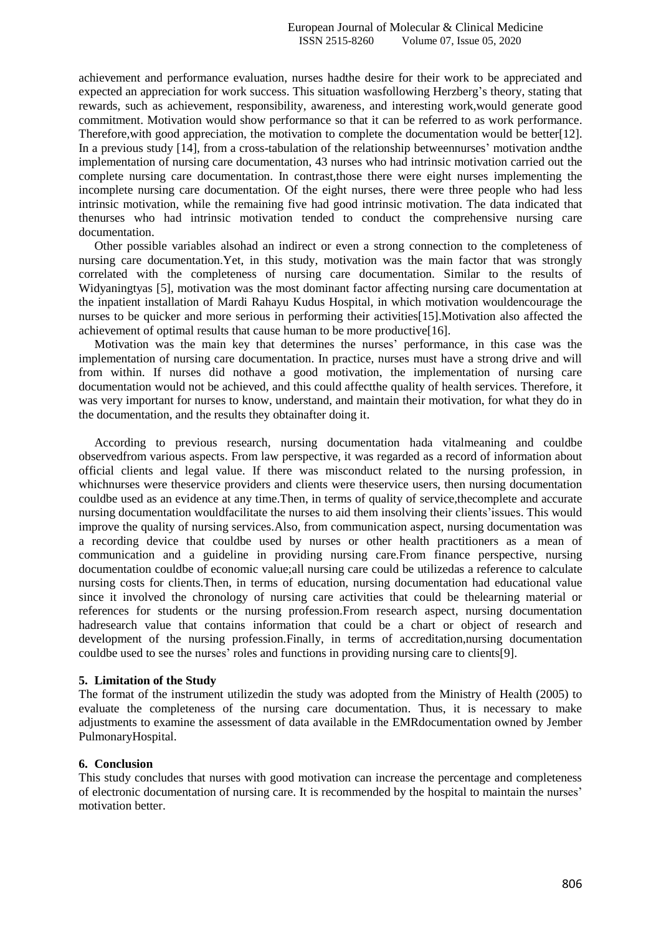achievement and performance evaluation, nurses hadthe desire for their work to be appreciated and expected an appreciation for work success. This situation wasfollowing Herzberg's theory, stating that rewards, such as achievement, responsibility, awareness, and interesting work,would generate good commitment. Motivation would show performance so that it can be referred to as work performance. Therefore,with good appreciation, the motivation to complete the documentation would be better[12]. In a previous study [14], from a cross-tabulation of the relationship betweennurses' motivation andthe implementation of nursing care documentation, 43 nurses who had intrinsic motivation carried out the complete nursing care documentation. In contrast,those there were eight nurses implementing the incomplete nursing care documentation. Of the eight nurses, there were three people who had less intrinsic motivation, while the remaining five had good intrinsic motivation. The data indicated that thenurses who had intrinsic motivation tended to conduct the comprehensive nursing care documentation.

Other possible variables alsohad an indirect or even a strong connection to the completeness of nursing care documentation.Yet, in this study, motivation was the main factor that was strongly correlated with the completeness of nursing care documentation. Similar to the results of Widyaningtyas [5], motivation was the most dominant factor affecting nursing care documentation at the inpatient installation of Mardi Rahayu Kudus Hospital, in which motivation wouldencourage the nurses to be quicker and more serious in performing their activities[15].Motivation also affected the achievement of optimal results that cause human to be more productive[16].

Motivation was the main key that determines the nurses' performance, in this case was the implementation of nursing care documentation. In practice, nurses must have a strong drive and will from within. If nurses did nothave a good motivation, the implementation of nursing care documentation would not be achieved, and this could affectthe quality of health services. Therefore, it was very important for nurses to know, understand, and maintain their motivation, for what they do in the documentation, and the results they obtainafter doing it.

According to previous research, nursing documentation hada vitalmeaning and couldbe observedfrom various aspects. From law perspective, it was regarded as a record of information about official clients and legal value. If there was misconduct related to the nursing profession, in whichnurses were theservice providers and clients were theservice users, then nursing documentation couldbe used as an evidence at any time.Then, in terms of quality of service,thecomplete and accurate nursing documentation wouldfacilitate the nurses to aid them insolving their clients'issues. This would improve the quality of nursing services.Also, from communication aspect, nursing documentation was a recording device that couldbe used by nurses or other health practitioners as a mean of communication and a guideline in providing nursing care.From finance perspective, nursing documentation couldbe of economic value;all nursing care could be utilizedas a reference to calculate nursing costs for clients.Then, in terms of education, nursing documentation had educational value since it involved the chronology of nursing care activities that could be thelearning material or references for students or the nursing profession.From research aspect, nursing documentation hadresearch value that contains information that could be a chart or object of research and development of the nursing profession.Finally, in terms of accreditation,nursing documentation couldbe used to see the nurses' roles and functions in providing nursing care to clients[9].

#### **5. Limitation of the Study**

The format of the instrument utilizedin the study was adopted from the Ministry of Health (2005) to evaluate the completeness of the nursing care documentation. Thus, it is necessary to make adjustments to examine the assessment of data available in the EMRdocumentation owned by Jember PulmonaryHospital.

#### **6. Conclusion**

This study concludes that nurses with good motivation can increase the percentage and completeness of electronic documentation of nursing care. It is recommended by the hospital to maintain the nurses' motivation better.